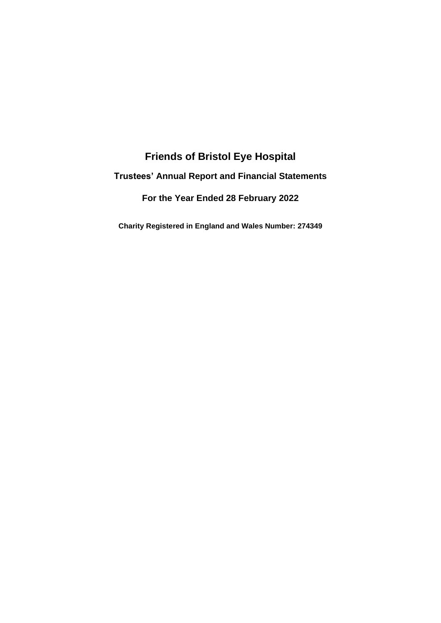# **Friends of Bristol Eye Hospital Trustees' Annual Report and Financial Statements For the Year Ended 28 February 2022**

**Charity Registered in England and Wales Number: 274349**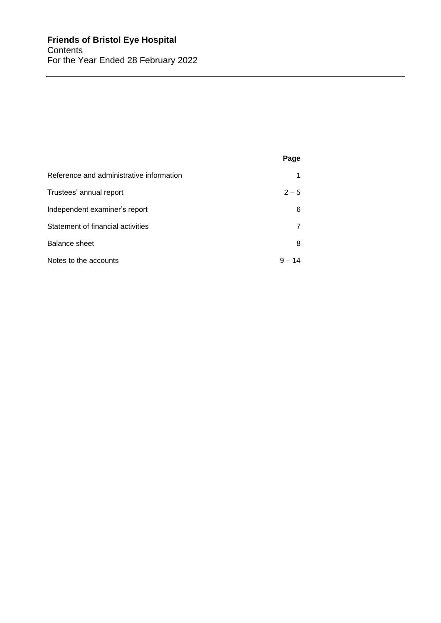|                                          | Page     |
|------------------------------------------|----------|
| Reference and administrative information | 1        |
| Trustees' annual report                  | $2 - 5$  |
| Independent examiner's report            | 6        |
| Statement of financial activities        |          |
| Balance sheet                            | 8        |
| Notes to the accounts                    | $9 - 14$ |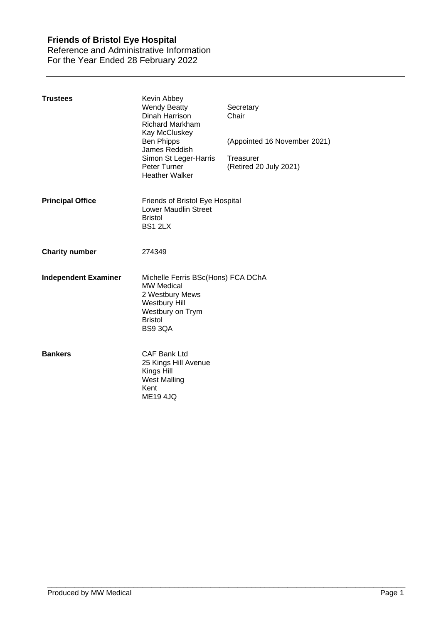Reference and Administrative Information For the Year Ended 28 February 2022

| <b>Trustees</b>             | Kevin Abbey<br><b>Wendy Beatty</b><br>Dinah Harrison<br><b>Richard Markham</b><br>Kay McCluskey<br><b>Ben Phipps</b><br>James Reddish<br>Simon St Leger-Harris<br>Peter Turner<br><b>Heather Walker</b> | Secretary<br>Chair<br>(Appointed 16 November 2021)<br>Treasurer<br>(Retired 20 July 2021) |
|-----------------------------|---------------------------------------------------------------------------------------------------------------------------------------------------------------------------------------------------------|-------------------------------------------------------------------------------------------|
| <b>Principal Office</b>     | Friends of Bristol Eye Hospital<br><b>Lower Maudlin Street</b><br><b>Bristol</b><br>BS1 2LX                                                                                                             |                                                                                           |
| <b>Charity number</b>       | 274349                                                                                                                                                                                                  |                                                                                           |
| <b>Independent Examiner</b> | Michelle Ferris BSc(Hons) FCA DChA<br><b>MW Medical</b><br>2 Westbury Mews<br><b>Westbury Hill</b><br>Westbury on Trym<br><b>Bristol</b><br>BS9 3QA                                                     |                                                                                           |
| <b>Bankers</b>              | <b>CAF Bank Ltd</b><br>25 Kings Hill Avenue<br>Kings Hill<br><b>West Malling</b><br>Kent<br><b>ME194JQ</b>                                                                                              |                                                                                           |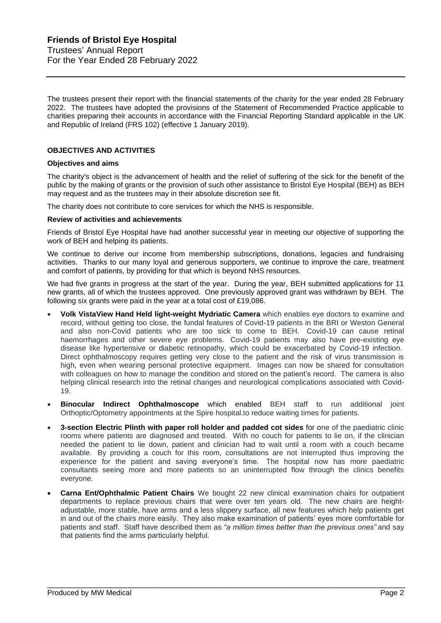The trustees present their report with the financial statements of the charity for the year ended 28 February 2022. The trustees have adopted the provisions of the Statement of Recommended Practice applicable to charities preparing their accounts in accordance with the Financial Reporting Standard applicable in the UK and Republic of Ireland (FRS 102) (effective 1 January 2019).

## **OBJECTIVES AND ACTIVITIES**

#### **Objectives and aims**

The charity's object is the advancement of health and the relief of suffering of the sick for the benefit of the public by the making of grants or the provision of such other assistance to Bristol Eye Hospital (BEH) as BEH may request and as the trustees may in their absolute discretion see fit.

The charity does not contribute to core services for which the NHS is responsible.

#### **Review of activities and achievements**

Friends of Bristol Eye Hospital have had another successful year in meeting our objective of supporting the work of BEH and helping its patients.

We continue to derive our income from membership subscriptions, donations, legacies and fundraising activities. Thanks to our many loyal and generous supporters, we continue to improve the care, treatment and comfort of patients, by providing for that which is beyond NHS resources.

We had five grants in progress at the start of the year. During the year, BEH submitted applications for 11 new grants, all of which the trustees approved. One previously approved grant was withdrawn by BEH. The following six grants were paid in the year at a total cost of £19,086.

- **Volk VistaView Hand Held light-weight Mydriatic Camera** which enables eye doctors to examine and record, without getting too close, the fundal features of Covid-19 patients in the BRI or Weston General and also non-Covid patients who are too sick to come to BEH. Covid-19 can cause retinal haemorrhages and other severe eye problems. Covid-19 patients may also have pre-existing eye disease like hypertensive or diabetic retinopathy, which could be exacerbated by Covid-19 infection. Direct ophthalmoscopy requires getting very close to the patient and the risk of virus transmission is high, even when wearing personal protective equipment. Images can now be shared for consultation with colleagues on how to manage the condition and stored on the patient's record. The camera is also helping clinical research into the retinal changes and neurological complications associated with Covid-19.
- **Binocular Indirect Ophthalmoscope** which enabled BEH staff to run additional joint Orthoptic/Optometry appointments at the Spire hospital.to reduce waiting times for patients.
- **3-section Electric Plinth with paper roll holder and padded cot sides** for one of the paediatric clinic rooms where patients are diagnosed and treated. With no couch for patients to lie on, if the clinician needed the patient to lie down, patient and clinician had to wait until a room with a couch became available. By providing a couch for this room, consultations are not interrupted thus improving the experience for the patient and saving everyone's time. The hospital now has more paediatric consultants seeing more and more patients so an uninterrupted flow through the clinics benefits everyone.
- **Carna Ent/Ophthalmic Patient Chairs** We bought 22 new clinical examination chairs for outpatient departments to replace previous chairs that were over ten years old. The new chairs are heightadjustable, more stable, have arms and a less slippery surface, all new features which help patients get in and out of the chairs more easily. They also make examination of patients' eyes more comfortable for patients and staff. Staff have described them as *"a million times better than the previous ones"* and say that patients find the arms particularly helpful.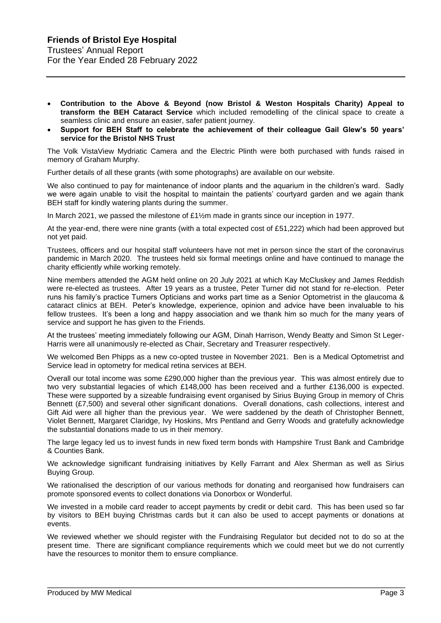- **Contribution to the Above & Beyond (now Bristol & Weston Hospitals Charity) Appeal to transform the BEH Cataract Service** which included remodelling of the clinical space to create a seamless clinic and ensure an easier, safer patient journey.
- **Support for BEH Staff to celebrate the achievement of their colleague Gail Glew's 50 years' service for the Bristol NHS Trust**

The Volk VistaView Mydriatic Camera and the Electric Plinth were both purchased with funds raised in memory of Graham Murphy.

Further details of all these grants (with some photographs) are available on our website.

We also continued to pay for maintenance of indoor plants and the aquarium in the children's ward. Sadly we were again unable to visit the hospital to maintain the patients' courtyard garden and we again thank BEH staff for kindly watering plants during the summer.

In March 2021, we passed the milestone of £1½m made in grants since our inception in 1977.

At the year-end, there were nine grants (with a total expected cost of £51,222) which had been approved but not yet paid.

Trustees, officers and our hospital staff volunteers have not met in person since the start of the coronavirus pandemic in March 2020. The trustees held six formal meetings online and have continued to manage the charity efficiently while working remotely.

Nine members attended the AGM held online on 20 July 2021 at which Kay McCluskey and James Reddish were re-elected as trustees. After 19 years as a trustee, Peter Turner did not stand for re-election. Peter runs his family's practice Turners Opticians and works part time as a Senior Optometrist in the glaucoma & cataract clinics at BEH. Peter's knowledge, experience, opinion and advice have been invaluable to his fellow trustees. It's been a long and happy association and we thank him so much for the many years of service and support he has given to the Friends.

At the trustees' meeting immediately following our AGM, Dinah Harrison, Wendy Beatty and Simon St Leger-Harris were all unanimously re-elected as Chair, Secretary and Treasurer respectively.

We welcomed Ben Phipps as a new co-opted trustee in November 2021. Ben is a Medical Optometrist and Service lead in optometry for medical retina services at BEH.

Overall our total income was some £290,000 higher than the previous year. This was almost entirely due to two very substantial legacies of which £148,000 has been received and a further £136,000 is expected. These were supported by a sizeable fundraising event organised by Sirius Buying Group in memory of Chris Bennett (£7,500) and several other significant donations. Overall donations, cash collections, interest and Gift Aid were all higher than the previous year. We were saddened by the death of Christopher Bennett, Violet Bennett, Margaret Claridge, Ivy Hoskins, Mrs Pentland and Gerry Woods and gratefully acknowledge the substantial donations made to us in their memory.

The large legacy led us to invest funds in new fixed term bonds with Hampshire Trust Bank and Cambridge & Counties Bank.

We acknowledge significant fundraising initiatives by Kelly Farrant and Alex Sherman as well as Sirius Buying Group.

We rationalised the description of our various methods for donating and reorganised how fundraisers can promote sponsored events to collect donations via Donorbox or Wonderful.

We invested in a mobile card reader to accept payments by credit or debit card. This has been used so far by visitors to BEH buying Christmas cards but it can also be used to accept payments or donations at events.

We reviewed whether we should register with the Fundraising Regulator but decided not to do so at the present time. There are significant compliance requirements which we could meet but we do not currently have the resources to monitor them to ensure compliance.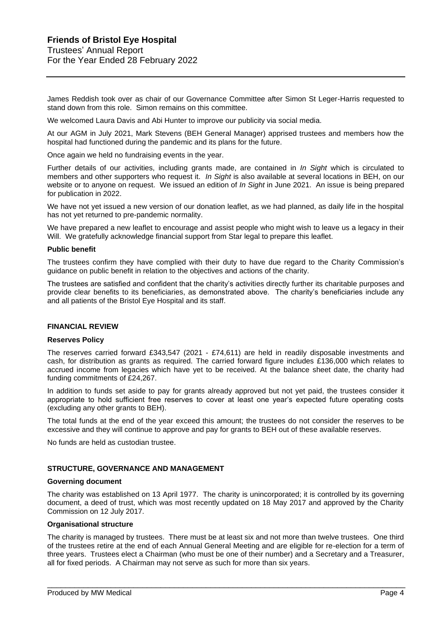James Reddish took over as chair of our Governance Committee after Simon St Leger-Harris requested to stand down from this role. Simon remains on this committee.

We welcomed Laura Davis and Abi Hunter to improve our publicity via social media.

At our AGM in July 2021, Mark Stevens (BEH General Manager) apprised trustees and members how the hospital had functioned during the pandemic and its plans for the future.

Once again we held no fundraising events in the year.

Further details of our activities, including grants made, are contained in *In Sight* which is circulated to members and other supporters who request it. *In Sight* is also available at several locations in BEH, on our website or to anyone on request. We issued an edition of *In Sight* in June 2021. An issue is being prepared for publication in 2022.

We have not yet issued a new version of our donation leaflet, as we had planned, as daily life in the hospital has not yet returned to pre-pandemic normality.

We have prepared a new leaflet to encourage and assist people who might wish to leave us a legacy in their Will. We gratefully acknowledge financial support from Star legal to prepare this leaflet.

#### **Public benefit**

The trustees confirm they have complied with their duty to have due regard to the Charity Commission's guidance on public benefit in relation to the objectives and actions of the charity.

The trustees are satisfied and confident that the charity's activities directly further its charitable purposes and provide clear benefits to its beneficiaries, as demonstrated above. The charity's beneficiaries include any and all patients of the Bristol Eye Hospital and its staff.

#### **FINANCIAL REVIEW**

#### **Reserves Policy**

The reserves carried forward £343,547 (2021 - £74,611) are held in readily disposable investments and cash, for distribution as grants as required. The carried forward figure includes £136,000 which relates to accrued income from legacies which have yet to be received. At the balance sheet date, the charity had funding commitments of £24,267.

In addition to funds set aside to pay for grants already approved but not yet paid, the trustees consider it appropriate to hold sufficient free reserves to cover at least one year's expected future operating costs (excluding any other grants to BEH).

The total funds at the end of the year exceed this amount; the trustees do not consider the reserves to be excessive and they will continue to approve and pay for grants to BEH out of these available reserves.

No funds are held as custodian trustee.

#### **STRUCTURE, GOVERNANCE AND MANAGEMENT**

#### **Governing document**

The charity was established on 13 April 1977. The charity is unincorporated; it is controlled by its governing document, a deed of trust, which was most recently updated on 18 May 2017 and approved by the Charity Commission on 12 July 2017.

#### **Organisational structure**

The charity is managed by trustees. There must be at least six and not more than twelve trustees. One third of the trustees retire at the end of each Annual General Meeting and are eligible for re-election for a term of three years. Trustees elect a Chairman (who must be one of their number) and a Secretary and a Treasurer, all for fixed periods. A Chairman may not serve as such for more than six years.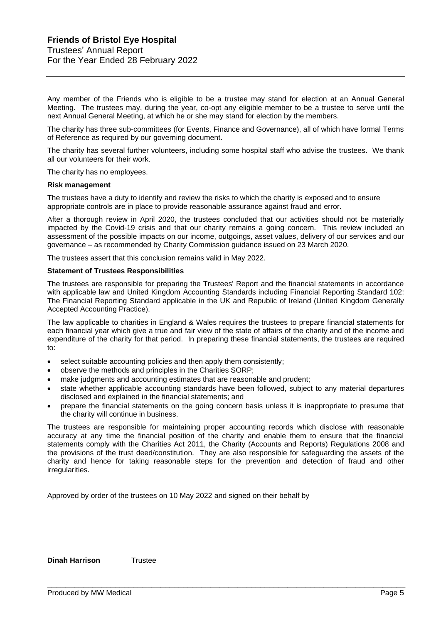Any member of the Friends who is eligible to be a trustee may stand for election at an Annual General Meeting. The trustees may, during the year, co-opt any eligible member to be a trustee to serve until the next Annual General Meeting, at which he or she may stand for election by the members.

The charity has three sub-committees (for Events, Finance and Governance), all of which have formal Terms of Reference as required by our governing document.

The charity has several further volunteers, including some hospital staff who advise the trustees. We thank all our volunteers for their work.

The charity has no employees.

#### **Risk management**

The trustees have a duty to identify and review the risks to which the charity is exposed and to ensure appropriate controls are in place to provide reasonable assurance against fraud and error.

After a thorough review in April 2020, the trustees concluded that our activities should not be materially impacted by the Covid-19 crisis and that our charity remains a going concern. This review included an assessment of the possible impacts on our income, outgoings, asset values, delivery of our services and our governance – as recommended by Charity Commission guidance issued on 23 March 2020.

The trustees assert that this conclusion remains valid in May 2022.

#### **Statement of Trustees Responsibilities**

The trustees are responsible for preparing the Trustees' Report and the financial statements in accordance with applicable law and United Kingdom Accounting Standards including Financial Reporting Standard 102: The Financial Reporting Standard applicable in the UK and Republic of Ireland (United Kingdom Generally Accepted Accounting Practice).

The law applicable to charities in England & Wales requires the trustees to prepare financial statements for each financial year which give a true and fair view of the state of affairs of the charity and of the income and expenditure of the charity for that period. In preparing these financial statements, the trustees are required to:

- select suitable accounting policies and then apply them consistently;
- observe the methods and principles in the Charities SORP;
- make judgments and accounting estimates that are reasonable and prudent;
- state whether applicable accounting standards have been followed, subject to any material departures disclosed and explained in the financial statements; and
- prepare the financial statements on the going concern basis unless it is inappropriate to presume that the charity will continue in business.

The trustees are responsible for maintaining proper accounting records which disclose with reasonable accuracy at any time the financial position of the charity and enable them to ensure that the financial statements comply with the Charities Act 2011, the Charity (Accounts and Reports) Regulations 2008 and the provisions of the trust deed/constitution. They are also responsible for safeguarding the assets of the charity and hence for taking reasonable steps for the prevention and detection of fraud and other irregularities.

\_\_\_\_\_\_\_\_\_\_\_\_\_\_\_\_\_\_\_\_\_\_\_\_\_\_\_\_\_\_\_\_\_\_\_\_\_\_\_\_\_\_\_\_\_\_\_\_\_\_\_\_\_\_\_\_\_\_\_\_\_\_\_\_\_\_\_\_\_\_\_\_\_\_\_\_\_\_\_

Approved by order of the trustees on 10 May 2022 and signed on their behalf by

**Dinah Harrison** Trustee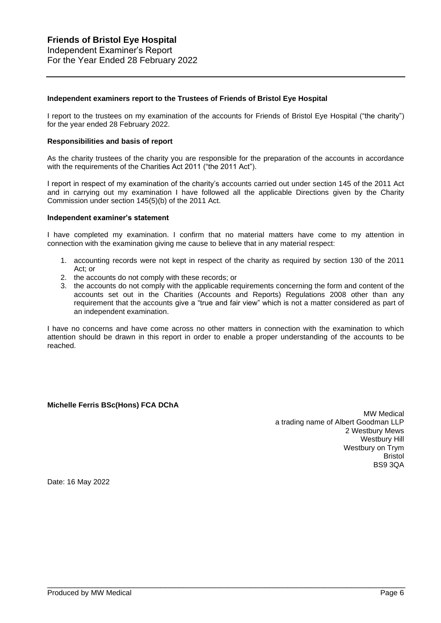#### **Independent examiners report to the Trustees of Friends of Bristol Eye Hospital**

I report to the trustees on my examination of the accounts for Friends of Bristol Eye Hospital ("the charity") for the year ended 28 February 2022.

#### **Responsibilities and basis of report**

As the charity trustees of the charity you are responsible for the preparation of the accounts in accordance with the requirements of the Charities Act 2011 ("the 2011 Act").

I report in respect of my examination of the charity's accounts carried out under section 145 of the 2011 Act and in carrying out my examination I have followed all the applicable Directions given by the Charity Commission under section 145(5)(b) of the 2011 Act.

#### **Independent examiner's statement**

I have completed my examination. I confirm that no material matters have come to my attention in connection with the examination giving me cause to believe that in any material respect:

- 1. accounting records were not kept in respect of the charity as required by section 130 of the 2011 Act; or
- 2. the accounts do not comply with these records; or
- 3. the accounts do not comply with the applicable requirements concerning the form and content of the accounts set out in the Charities (Accounts and Reports) Regulations 2008 other than any requirement that the accounts give a "true and fair view" which is not a matter considered as part of an independent examination.

I have no concerns and have come across no other matters in connection with the examination to which attention should be drawn in this report in order to enable a proper understanding of the accounts to be reached.

\_\_\_\_\_\_\_\_\_\_\_\_\_\_\_\_\_\_\_\_\_\_\_\_\_\_\_\_\_\_\_\_\_\_\_\_\_\_\_\_\_\_\_\_\_\_\_\_\_\_\_\_\_\_\_\_\_\_\_\_\_\_\_\_\_\_\_\_\_\_\_\_\_\_\_\_\_\_\_

## **Michelle Ferris BSc(Hons) FCA DChA**

MW Medical a trading name of Albert Goodman LLP 2 Westbury Mews Westbury Hill Westbury on Trym Bristol BS9 3QA

Date: 16 May 2022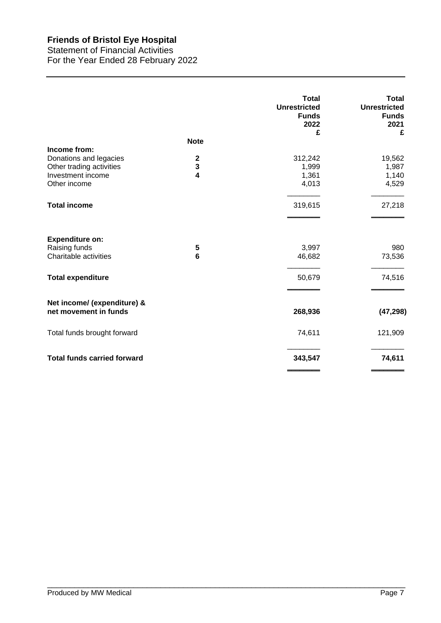Statement of Financial Activities For the Year Ended 28 February 2022

|                                                                  |                     | <b>Total</b><br><b>Unrestricted</b><br><b>Funds</b><br>2022<br>£ | Total<br><b>Unrestricted</b><br><b>Funds</b><br>2021<br>£ |
|------------------------------------------------------------------|---------------------|------------------------------------------------------------------|-----------------------------------------------------------|
|                                                                  | <b>Note</b>         |                                                                  |                                                           |
| Income from:                                                     |                     |                                                                  |                                                           |
| Donations and legacies                                           | $\mathbf 2$         | 312,242                                                          | 19,562                                                    |
| Other trading activities                                         | 3                   | 1,999                                                            | 1,987                                                     |
| Investment income<br>Other income                                | 4                   | 1,361<br>4,013                                                   | 1,140<br>4,529                                            |
|                                                                  |                     |                                                                  |                                                           |
| <b>Total income</b>                                              |                     | 319,615                                                          | 27,218                                                    |
| <b>Expenditure on:</b><br>Raising funds<br>Charitable activities | 5<br>$6\phantom{1}$ | 3,997<br>46,682                                                  | 980<br>73,536                                             |
| <b>Total expenditure</b>                                         |                     | 50,679                                                           | 74,516                                                    |
| Net income/ (expenditure) &<br>net movement in funds             |                     | 268,936                                                          | (47, 298)                                                 |
| Total funds brought forward                                      |                     | 74,611                                                           | 121,909                                                   |
| <b>Total funds carried forward</b>                               |                     | 343,547                                                          | 74,611                                                    |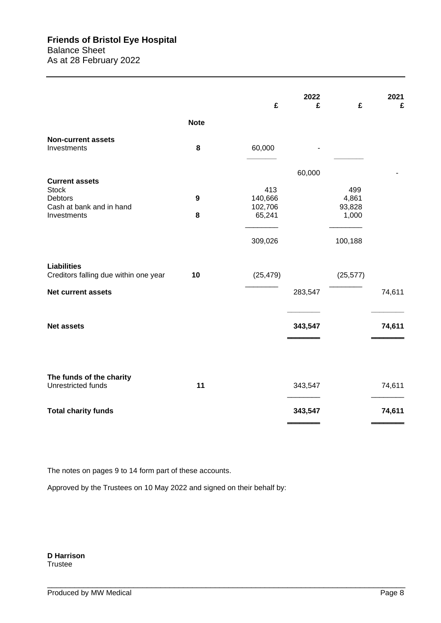|                                                             |             | £              | 2022<br>£ | £            | 2021<br>£ |
|-------------------------------------------------------------|-------------|----------------|-----------|--------------|-----------|
|                                                             | <b>Note</b> |                |           |              |           |
| <b>Non-current assets</b><br>Investments                    | 8           | 60,000         |           |              |           |
|                                                             |             |                |           |              |           |
| <b>Current assets</b>                                       |             |                | 60,000    |              |           |
| <b>Stock</b><br><b>Debtors</b>                              | 9           | 413<br>140,666 |           | 499<br>4,861 |           |
| Cash at bank and in hand                                    |             | 102,706        |           | 93,828       |           |
| Investments                                                 | 8           | 65,241         |           | 1,000        |           |
|                                                             |             | 309,026        |           | 100,188      |           |
| <b>Liabilities</b><br>Creditors falling due within one year | 10          | (25, 479)      |           | (25, 577)    |           |
| Net current assets                                          |             |                | 283,547   |              | 74,611    |
| <b>Net assets</b>                                           |             |                | 343,547   |              | 74,611    |
|                                                             |             |                |           |              |           |
|                                                             |             |                |           |              |           |
| The funds of the charity<br>Unrestricted funds              | 11          |                | 343,547   |              | 74,611    |
| <b>Total charity funds</b>                                  |             |                | 343,547   |              | 74,611    |

\_\_\_\_\_\_\_\_\_\_\_\_\_\_\_\_\_\_\_\_\_\_\_\_\_\_\_\_\_\_\_\_\_\_\_\_\_\_\_\_\_\_\_\_\_\_\_\_\_\_\_\_\_\_\_\_\_\_\_\_\_\_\_\_\_\_\_\_\_\_\_\_\_\_\_\_\_\_\_

The notes on pages 9 to 14 form part of these accounts.

Approved by the Trustees on 10 May 2022 and signed on their behalf by:

**D Harrison** Trustee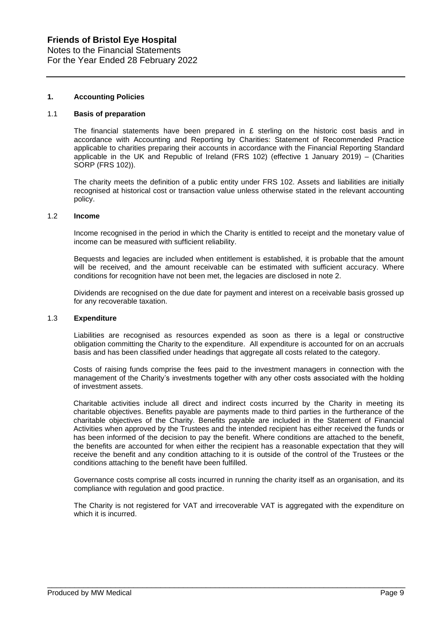Notes to the Financial Statements For the Year Ended 28 February 2022

## **1. Accounting Policies**

#### 1.1 **Basis of preparation**

The financial statements have been prepared in  $E$  sterling on the historic cost basis and in accordance with Accounting and Reporting by Charities: Statement of Recommended Practice applicable to charities preparing their accounts in accordance with the Financial Reporting Standard applicable in the UK and Republic of Ireland (FRS 102) (effective 1 January 2019) – (Charities SORP (FRS 102)).

The charity meets the definition of a public entity under FRS 102. Assets and liabilities are initially recognised at historical cost or transaction value unless otherwise stated in the relevant accounting policy.

#### 1.2 **Income**

Income recognised in the period in which the Charity is entitled to receipt and the monetary value of income can be measured with sufficient reliability.

Bequests and legacies are included when entitlement is established, it is probable that the amount will be received, and the amount receivable can be estimated with sufficient accuracy. Where conditions for recognition have not been met, the legacies are disclosed in note 2.

Dividends are recognised on the due date for payment and interest on a receivable basis grossed up for any recoverable taxation.

#### 1.3 **Expenditure**

Liabilities are recognised as resources expended as soon as there is a legal or constructive obligation committing the Charity to the expenditure. All expenditure is accounted for on an accruals basis and has been classified under headings that aggregate all costs related to the category.

Costs of raising funds comprise the fees paid to the investment managers in connection with the management of the Charity's investments together with any other costs associated with the holding of investment assets.

Charitable activities include all direct and indirect costs incurred by the Charity in meeting its charitable objectives. Benefits payable are payments made to third parties in the furtherance of the charitable objectives of the Charity. Benefits payable are included in the Statement of Financial Activities when approved by the Trustees and the intended recipient has either received the funds or has been informed of the decision to pay the benefit. Where conditions are attached to the benefit, the benefits are accounted for when either the recipient has a reasonable expectation that they will receive the benefit and any condition attaching to it is outside of the control of the Trustees or the conditions attaching to the benefit have been fulfilled.

Governance costs comprise all costs incurred in running the charity itself as an organisation, and its compliance with regulation and good practice.

The Charity is not registered for VAT and irrecoverable VAT is aggregated with the expenditure on which it is incurred.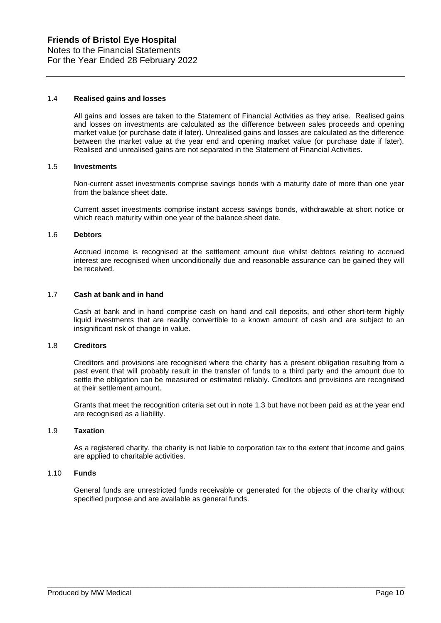#### 1.4 **Realised gains and losses**

All gains and losses are taken to the Statement of Financial Activities as they arise. Realised gains and losses on investments are calculated as the difference between sales proceeds and opening market value (or purchase date if later). Unrealised gains and losses are calculated as the difference between the market value at the year end and opening market value (or purchase date if later). Realised and unrealised gains are not separated in the Statement of Financial Activities.

#### 1.5 **Investments**

Non-current asset investments comprise savings bonds with a maturity date of more than one year from the balance sheet date.

Current asset investments comprise instant access savings bonds, withdrawable at short notice or which reach maturity within one year of the balance sheet date.

#### 1.6 **Debtors**

Accrued income is recognised at the settlement amount due whilst debtors relating to accrued interest are recognised when unconditionally due and reasonable assurance can be gained they will be received.

#### 1.7 **Cash at bank and in hand**

Cash at bank and in hand comprise cash on hand and call deposits, and other short-term highly liquid investments that are readily convertible to a known amount of cash and are subject to an insignificant risk of change in value.

## 1.8 **Creditors**

Creditors and provisions are recognised where the charity has a present obligation resulting from a past event that will probably result in the transfer of funds to a third party and the amount due to settle the obligation can be measured or estimated reliably. Creditors and provisions are recognised at their settlement amount.

Grants that meet the recognition criteria set out in note 1.3 but have not been paid as at the year end are recognised as a liability.

#### 1.9 **Taxation**

As a registered charity, the charity is not liable to corporation tax to the extent that income and gains are applied to charitable activities.

#### 1.10 **Funds**

General funds are unrestricted funds receivable or generated for the objects of the charity without specified purpose and are available as general funds.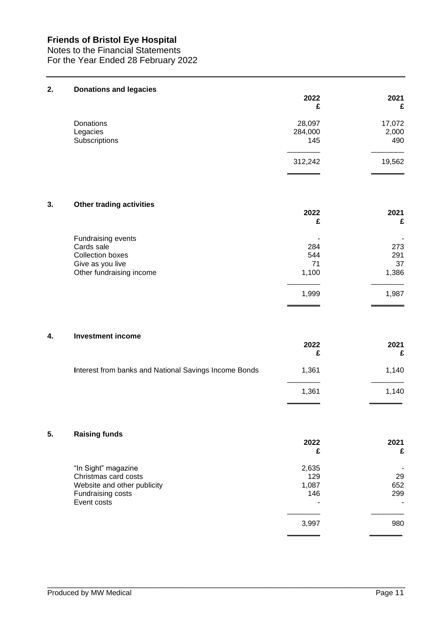Notes to the Financial Statements For the Year Ended 28 February 2022

| 2. | <b>Donations and legacies</b>                                                                               | 2022<br>£                 | 2021<br>£                 |
|----|-------------------------------------------------------------------------------------------------------------|---------------------------|---------------------------|
|    | Donations<br>Legacies<br>Subscriptions                                                                      | 28,097<br>284,000<br>145  | 17,072<br>2,000<br>490    |
|    |                                                                                                             | 312,242                   | 19,562                    |
| 3. | <b>Other trading activities</b>                                                                             | 2022<br>£                 | 2021<br>£                 |
|    | Fundraising events<br>Cards sale<br><b>Collection boxes</b><br>Give as you live<br>Other fundraising income | 284<br>544<br>71<br>1,100 | 273<br>291<br>37<br>1,386 |
|    |                                                                                                             | 1,999                     | 1,987                     |
| 4. | <b>Investment income</b>                                                                                    | 2022<br>£                 | 2021<br>£                 |
|    | Interest from banks and National Savings Income Bonds                                                       | 1,361                     | 1,140                     |
|    |                                                                                                             | 1,361                     | 1,140                     |
| 5. | <b>Raising funds</b>                                                                                        | 2022                      | 2021                      |

| "In Sight" magazine<br>Christmas card costs                     | 2,635<br>129 | 29              |
|-----------------------------------------------------------------|--------------|-----------------|
| Website and other publicity<br>Fundraising costs<br>Event costs | 1,087<br>146 | 652<br>299<br>۰ |
|                                                                 | 3,997        | 980             |
|                                                                 |              |                 |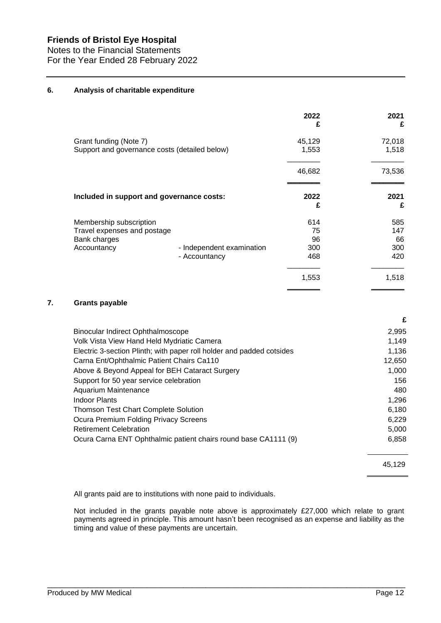Notes to the Financial Statements For the Year Ended 28 February 2022

## **6. Analysis of charitable expenditure**

|                                                                                       |                                            | 2022<br>£                     | 2021<br>£                      |
|---------------------------------------------------------------------------------------|--------------------------------------------|-------------------------------|--------------------------------|
| Grant funding (Note 7)<br>Support and governance costs (detailed below)               |                                            | 45,129<br>1,553               | 72,018<br>1,518                |
|                                                                                       |                                            | 46,682                        | 73,536                         |
| Included in support and governance costs:                                             |                                            | 2022<br>£                     | 2021<br>£                      |
| Membership subscription<br>Travel expenses and postage<br>Bank charges<br>Accountancy | - Independent examination<br>- Accountancy | 614<br>75<br>96<br>300<br>468 | 585<br>147<br>66<br>300<br>420 |
|                                                                                       |                                            | 1,553                         | 1,518                          |

## **7. Grants payable**

|                                                                       | £      |
|-----------------------------------------------------------------------|--------|
| Binocular Indirect Ophthalmoscope                                     | 2,995  |
| Volk Vista View Hand Held Mydriatic Camera                            | 1,149  |
| Electric 3-section Plinth; with paper roll holder and padded cotsides | 1.136  |
| Carna Ent/Ophthalmic Patient Chairs Ca110                             | 12,650 |
| Above & Beyond Appeal for BEH Cataract Surgery                        | 1,000  |
| Support for 50 year service celebration                               | 156    |
| Aquarium Maintenance                                                  | 480    |
| <b>Indoor Plants</b>                                                  | 1,296  |
| <b>Thomson Test Chart Complete Solution</b>                           | 6,180  |
| Ocura Premium Folding Privacy Screens                                 | 6.229  |
| <b>Retirement Celebration</b>                                         | 5,000  |
| Ocura Carna ENT Ophthalmic patient chairs round base CA1111 (9)       | 6,858  |

45,129

All grants paid are to institutions with none paid to individuals.

Not included in the grants payable note above is approximately £27,000 which relate to grant payments agreed in principle. This amount hasn't been recognised as an expense and liability as the timing and value of these payments are uncertain.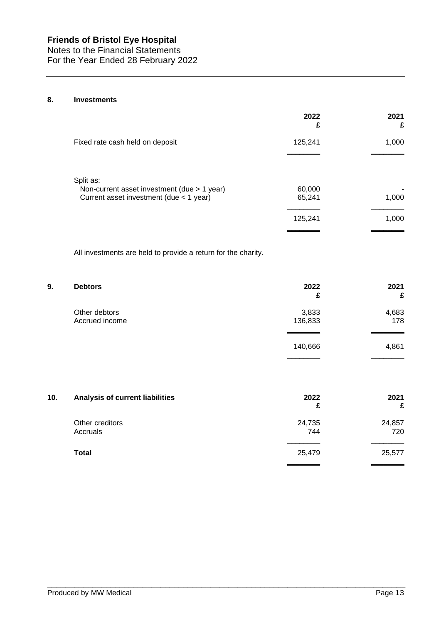Notes to the Financial Statements For the Year Ended 28 February 2022

# **8. Investments**

|                                                                                        | 2022<br>£        | 2021<br>£  |
|----------------------------------------------------------------------------------------|------------------|------------|
| Fixed rate cash held on deposit                                                        | 125,241          | 1,000      |
| Split as:                                                                              |                  |            |
| Non-current asset investment (due > 1 year)<br>Current asset investment (due < 1 year) | 60,000<br>65,241 | ۰<br>1,000 |
|                                                                                        | 125,241          | 1,000      |

All investments are held to provide a return for the charity.

| 9.             | 2022    | 2021  |
|----------------|---------|-------|
| <b>Debtors</b> | £       | £     |
| Other debtors  | 3,833   | 4,683 |
| Accrued income | 136,833 | 178   |
|                | 140,666 | 4,861 |

| 10. | Analysis of current liabilities | 2022<br>£     | 2021<br>£     |
|-----|---------------------------------|---------------|---------------|
|     | Other creditors<br>Accruals     | 24,735<br>744 | 24,857<br>720 |
|     | Total                           | 25,479        | 25,577        |